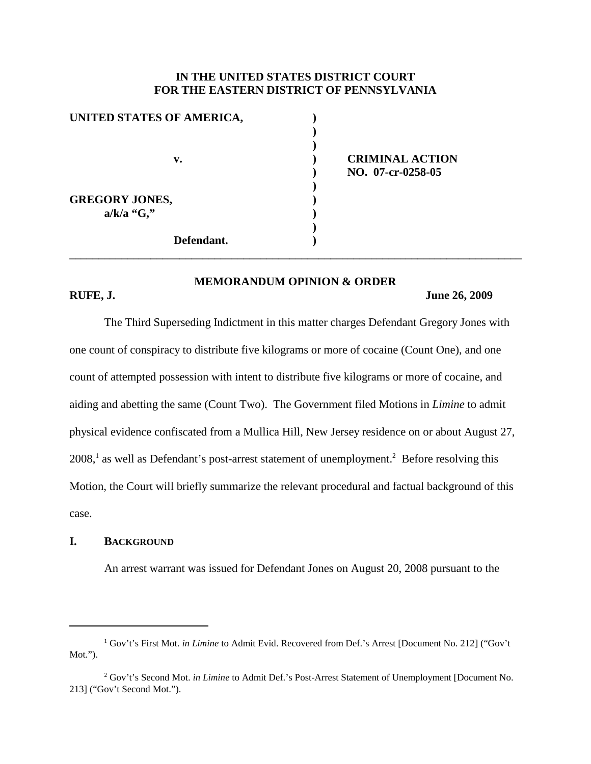### **IN THE UNITED STATES DISTRICT COURT FOR THE EASTERN DISTRICT OF PENNSYLVANIA**

| UNITED STATES OF AMERICA, |  |
|---------------------------|--|
|                           |  |
|                           |  |
| v.                        |  |
|                           |  |
|                           |  |
| <b>GREGORY JONES,</b>     |  |
| $a/k/a$ "G,"              |  |
|                           |  |
| Defendant.                |  |

# **v. ) CRIMINAL ACTION ) NO. 07-cr-0258-05**

# **MEMORANDUM OPINION & ORDER**

**\_\_\_\_\_\_\_\_\_\_\_\_\_\_\_\_\_\_\_\_\_\_\_\_\_\_\_\_\_\_\_\_\_\_\_\_\_\_\_\_\_\_\_\_\_\_\_\_\_\_\_\_\_\_\_\_\_\_\_\_\_\_\_\_\_\_\_\_\_\_\_\_\_\_\_\_\_\_**

#### **RUFE, J. June 26, 2009**

The Third Superseding Indictment in this matter charges Defendant Gregory Jones with one count of conspiracy to distribute five kilograms or more of cocaine (Count One), and one count of attempted possession with intent to distribute five kilograms or more of cocaine, and aiding and abetting the same (Count Two). The Government filed Motions in *Limine* to admit physical evidence confiscated from a Mullica Hill, New Jersey residence on or about August 27, 2008, <sup>1</sup> as well as Defendant's post-arrest statement of unemployment. <sup>2</sup> Before resolving this Motion, the Court will briefly summarize the relevant procedural and factual background of this case.

### **I. BACKGROUND**

An arrest warrant was issued for Defendant Jones on August 20, 2008 pursuant to the

<sup>&</sup>lt;sup>1</sup> Gov't's First Mot. *in Limine* to Admit Evid. Recovered from Def.'s Arrest [Document No. 212] ("Gov't Mot.").

<sup>2</sup> Gov't's Second Mot. *in Limine* to Admit Def.'s Post-Arrest Statement of Unemployment [Document No. 213] ("Gov't Second Mot.").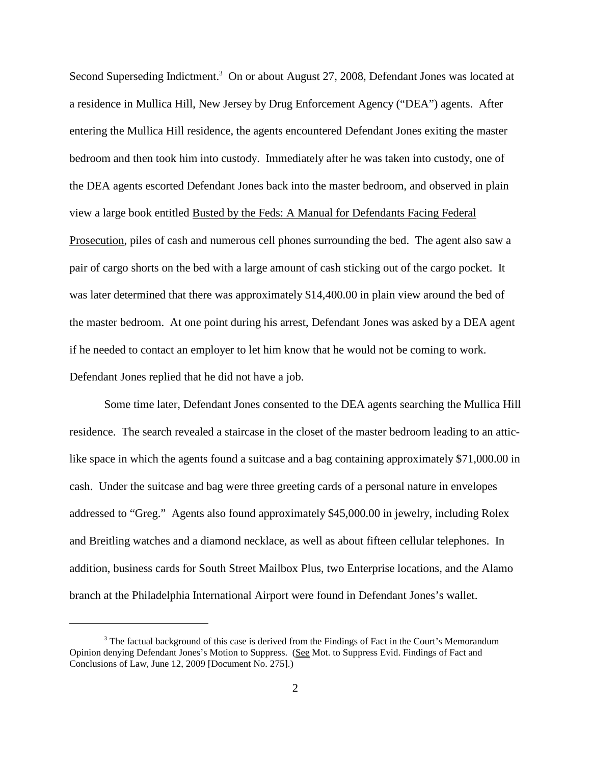Second Superseding Indictment.<sup>3</sup> On or about August 27, 2008, Defendant Jones was located at a residence in Mullica Hill, New Jersey by Drug Enforcement Agency ("DEA") agents. After entering the Mullica Hill residence, the agents encountered Defendant Jones exiting the master bedroom and then took him into custody. Immediately after he was taken into custody, one of the DEA agents escorted Defendant Jones back into the master bedroom, and observed in plain view a large book entitled Busted by the Feds: A Manual for Defendants Facing Federal Prosecution, piles of cash and numerous cell phones surrounding the bed. The agent also saw a pair of cargo shorts on the bed with a large amount of cash sticking out of the cargo pocket. It was later determined that there was approximately \$14,400.00 in plain view around the bed of the master bedroom. At one point during his arrest, Defendant Jones was asked by a DEA agent if he needed to contact an employer to let him know that he would not be coming to work. Defendant Jones replied that he did not have a job.

Some time later, Defendant Jones consented to the DEA agents searching the Mullica Hill residence. The search revealed a staircase in the closet of the master bedroom leading to an atticlike space in which the agents found a suitcase and a bag containing approximately \$71,000.00 in cash. Under the suitcase and bag were three greeting cards of a personal nature in envelopes addressed to "Greg." Agents also found approximately \$45,000.00 in jewelry, including Rolex and Breitling watches and a diamond necklace, as well as about fifteen cellular telephones. In addition, business cards for South Street Mailbox Plus, two Enterprise locations, and the Alamo branch at the Philadelphia International Airport were found in Defendant Jones's wallet.

 $3$  The factual background of this case is derived from the Findings of Fact in the Court's Memorandum Opinion denying Defendant Jones's Motion to Suppress. (See Mot. to Suppress Evid. Findings of Fact and Conclusions of Law, June 12, 2009 [Document No. 275].)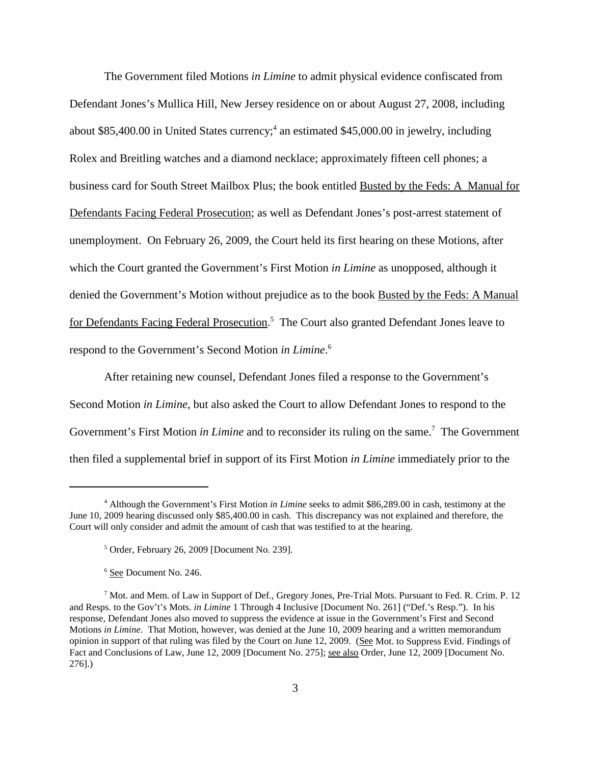The Government filed Motions *in Limine* to admit physical evidence confiscated from Defendant Jones's Mullica Hill, New Jersey residence on or about August 27, 2008, including about \$85,400.00 in United States currency; <sup>4</sup> an estimated \$45,000.00 in jewelry, including Rolex and Breitling watches and a diamond necklace; approximately fifteen cell phones; a business card for South Street Mailbox Plus; the book entitled Busted by the Feds: A Manual for Defendants Facing Federal Prosecution; as well as Defendant Jones's post-arrest statement of unemployment. On February 26, 2009, the Court held its first hearing on these Motions, after which the Court granted the Government's First Motion *in Limine* as unopposed, although it denied the Government's Motion without prejudice as to the book Busted by the Feds: A Manual for Defendants Facing Federal Prosecution.<sup>5</sup> The Court also granted Defendant Jones leave to respond to the Government's Second Motion *in Limine*. 6

After retaining new counsel, Defendant Jones filed a response to the Government's Second Motion *in Limine*, but also asked the Court to allow Defendant Jones to respond to the Government's First Motion *in Limine* and to reconsider its ruling on the same. <sup>7</sup> The Government then filed a supplemental brief in support of its First Motion *in Limine* immediately prior to the

<sup>4</sup> Although the Government's First Motion *in Limine* seeks to admit \$86,289.00 in cash, testimony at the June 10, 2009 hearing discussed only \$85,400.00 in cash. This discrepancy was not explained and therefore, the Court will only consider and admit the amount of cash that was testified to at the hearing.

<sup>5</sup> Order, February 26, 2009 [Document No. 239].

<sup>6</sup> See Document No. 246.

 $<sup>7</sup>$  Mot. and Mem. of Law in Support of Def., Gregory Jones, Pre-Trial Mots. Pursuant to Fed. R. Crim. P. 12</sup> and Resps. to the Gov't's Mots. *in Limine* 1 Through 4 Inclusive [Document No. 261] ("Def.'s Resp."). In his response, Defendant Jones also moved to suppress the evidence at issue in the Government's First and Second Motions *in Limine*. That Motion, however, was denied at the June 10, 2009 hearing and a written memorandum opinion in support of that ruling was filed by the Court on June 12, 2009. (See Mot. to Suppress Evid. Findings of Fact and Conclusions of Law, June 12, 2009 [Document No. 275]; see also Order, June 12, 2009 [Document No. 276].)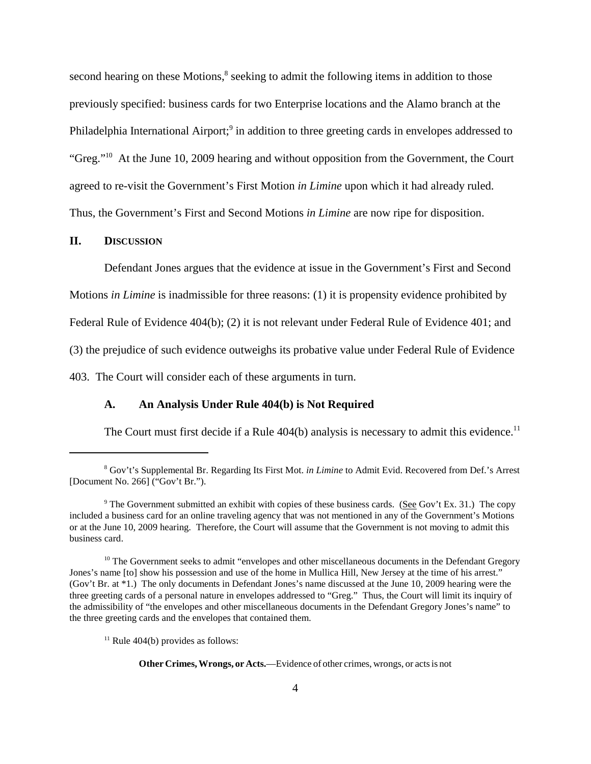second hearing on these Motions,<sup>8</sup> seeking to admit the following items in addition to those previously specified: business cards for two Enterprise locations and the Alamo branch at the Philadelphia International Airport;<sup>9</sup> in addition to three greeting cards in envelopes addressed to "Greg."10 At the June 10, 2009 hearing and without opposition from the Government, the Court agreed to re-visit the Government's First Motion *in Limine* upon which it had already ruled. Thus, the Government's First and Second Motions *in Limine* are now ripe for disposition.

#### **II. DISCUSSION**

Defendant Jones argues that the evidence at issue in the Government's First and Second Motions *in Limine* is inadmissible for three reasons: (1) it is propensity evidence prohibited by Federal Rule of Evidence 404(b); (2) it is not relevant under Federal Rule of Evidence 401; and (3) the prejudice of such evidence outweighs its probative value under Federal Rule of Evidence 403. The Court will consider each of these arguments in turn.

#### **A. An Analysis Under Rule 404(b) is Not Required**

The Court must first decide if a Rule 404(b) analysis is necessary to admit this evidence.<sup>11</sup>

<sup>8</sup> Gov't's Supplemental Br. Regarding Its First Mot. *in Limine* to Admit Evid. Recovered from Def.'s Arrest [Document No. 266] ("Gov't Br.").

<sup>&</sup>lt;sup>9</sup> The Government submitted an exhibit with copies of these business cards. (See Gov't Ex. 31.) The copy included a business card for an online traveling agency that was not mentioned in any of the Government's Motions or at the June 10, 2009 hearing. Therefore, the Court will assume that the Government is not moving to admit this business card.

 $10$  The Government seeks to admit "envelopes and other miscellaneous documents in the Defendant Gregory Jones's name [to] show his possession and use of the home in Mullica Hill, New Jersey at the time of his arrest." (Gov't Br. at \*1.) The only documents in Defendant Jones's name discussed at the June 10, 2009 hearing were the three greeting cards of a personal nature in envelopes addressed to "Greg." Thus, the Court will limit its inquiry of the admissibility of "the envelopes and other miscellaneous documents in the Defendant Gregory Jones's name" to the three greeting cards and the envelopes that contained them.

 $11$  Rule 404(b) provides as follows:

**Other Crimes,Wrongs, or Acts.**—Evidence of other crimes, wrongs, or actsis not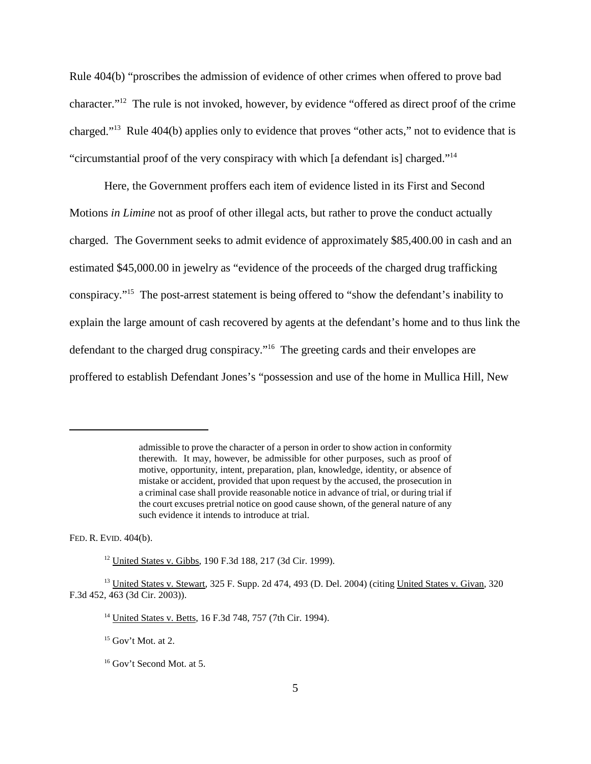Rule 404(b) "proscribes the admission of evidence of other crimes when offered to prove bad character."12 The rule is not invoked, however, by evidence "offered as direct proof of the crime charged."13 Rule 404(b) applies only to evidence that proves "other acts," not to evidence that is "circumstantial proof of the very conspiracy with which [a defendant is] charged."14

Here, the Government proffers each item of evidence listed in its First and Second Motions *in Limine* not as proof of other illegal acts, but rather to prove the conduct actually charged. The Government seeks to admit evidence of approximately \$85,400.00 in cash and an estimated \$45,000.00 in jewelry as "evidence of the proceeds of the charged drug trafficking conspiracy."15 The post-arrest statement is being offered to "show the defendant's inability to explain the large amount of cash recovered by agents at the defendant's home and to thus link the defendant to the charged drug conspiracy."<sup>16</sup> The greeting cards and their envelopes are proffered to establish Defendant Jones's "possession and use of the home in Mullica Hill, New

FED. R. EVID. 404(b).

admissible to prove the character of a person in order to show action in conformity therewith. It may, however, be admissible for other purposes, such as proof of motive, opportunity, intent, preparation, plan, knowledge, identity, or absence of mistake or accident, provided that upon request by the accused, the prosecution in a criminal case shall provide reasonable notice in advance of trial, or during trial if the court excuses pretrial notice on good cause shown, of the general nature of any such evidence it intends to introduce at trial.

<sup>12</sup> United States v. Gibbs, 190 F.3d 188, 217 (3d Cir. 1999).

<sup>&</sup>lt;sup>13</sup> United States v. Stewart, 325 F. Supp. 2d 474, 493 (D. Del. 2004) (citing United States v. Givan, 320 F.3d 452, 463 (3d Cir. 2003)).

<sup>14</sup> United States v. Betts, 16 F.3d 748, 757 (7th Cir. 1994).

 $15$  Gov't Mot. at 2.

<sup>16</sup> Gov't Second Mot. at 5.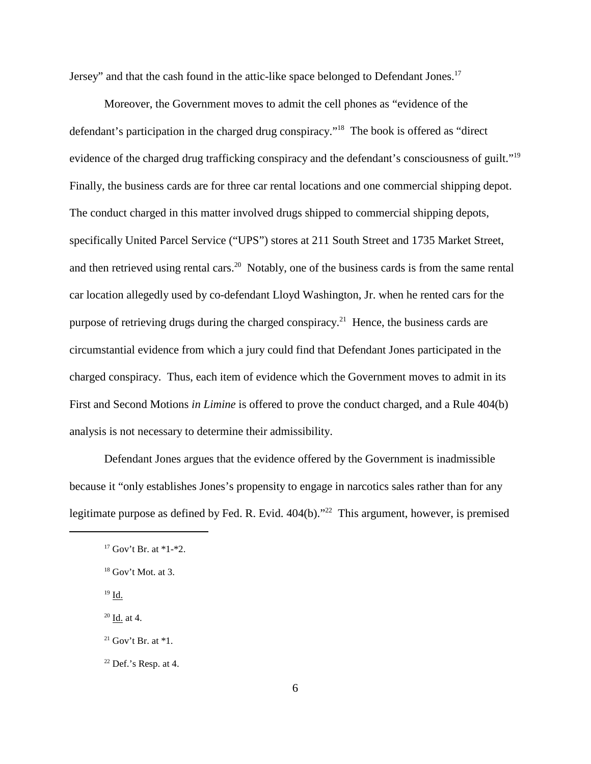Jersey" and that the cash found in the attic-like space belonged to Defendant Jones.<sup>17</sup>

Moreover, the Government moves to admit the cell phones as "evidence of the defendant's participation in the charged drug conspiracy."18 The book is offered as "direct evidence of the charged drug trafficking conspiracy and the defendant's consciousness of guilt."19 Finally, the business cards are for three car rental locations and one commercial shipping depot. The conduct charged in this matter involved drugs shipped to commercial shipping depots, specifically United Parcel Service ("UPS") stores at 211 South Street and 1735 Market Street, and then retrieved using rental cars.<sup>20</sup> Notably, one of the business cards is from the same rental car location allegedly used by co-defendant Lloyd Washington, Jr. when he rented cars for the purpose of retrieving drugs during the charged conspiracy.<sup>21</sup> Hence, the business cards are circumstantial evidence from which a jury could find that Defendant Jones participated in the charged conspiracy. Thus, each item of evidence which the Government moves to admit in its First and Second Motions *in Limine* is offered to prove the conduct charged, and a Rule 404(b) analysis is not necessary to determine their admissibility.

Defendant Jones argues that the evidence offered by the Government is inadmissible because it "only establishes Jones's propensity to engage in narcotics sales rather than for any legitimate purpose as defined by Fed. R. Evid. 404(b)."<sup>22</sup> This argument, however, is premised

 $19 \underline{\mathsf{Id}}$ .

 $20$  Id. at 4.

 $17$  Gov't Br. at  $*1-*2$ .

 $18$  Gov't Mot. at 3.

<sup>&</sup>lt;sup>21</sup> Gov't Br. at  $*1$ .

 $22$  Def.'s Resp. at 4.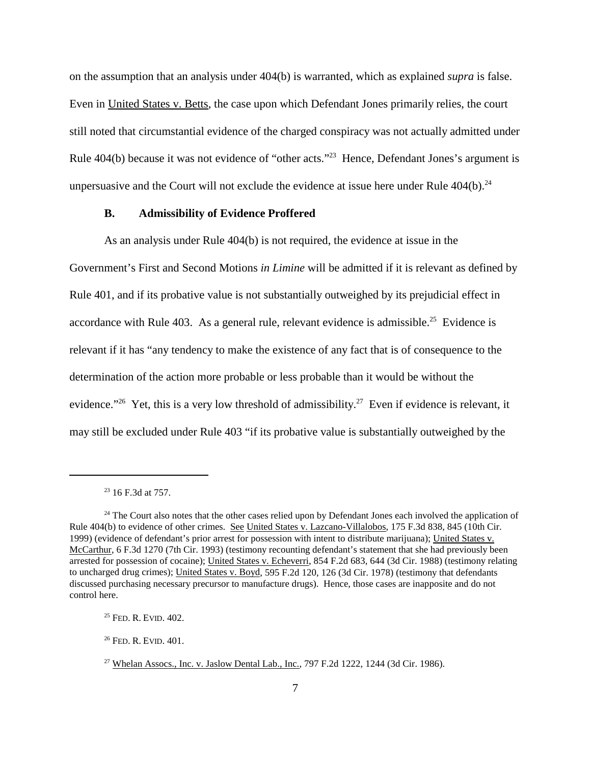on the assumption that an analysis under 404(b) is warranted, which as explained *supra* is false. Even in United States v. Betts, the case upon which Defendant Jones primarily relies, the court still noted that circumstantial evidence of the charged conspiracy was not actually admitted under Rule 404(b) because it was not evidence of "other acts."23 Hence, Defendant Jones's argument is unpersuasive and the Court will not exclude the evidence at issue here under Rule  $404(b)$ .<sup>24</sup>

#### **B. Admissibility of Evidence Proffered**

As an analysis under Rule 404(b) is not required, the evidence at issue in the Government's First and Second Motions *in Limine* will be admitted if it is relevant as defined by Rule 401, and if its probative value is not substantially outweighed by its prejudicial effect in accordance with Rule 403. As a general rule, relevant evidence is admissible.<sup>25</sup> Evidence is relevant if it has "any tendency to make the existence of any fact that is of consequence to the determination of the action more probable or less probable than it would be without the evidence."<sup>26</sup> Yet, this is a very low threshold of admissibility.<sup>27</sup> Even if evidence is relevant, it may still be excluded under Rule 403 "if its probative value is substantially outweighed by the

 $23$  16 F.3d at 757.

<sup>&</sup>lt;sup>24</sup> The Court also notes that the other cases relied upon by Defendant Jones each involved the application of Rule 404(b) to evidence of other crimes. See United States v. Lazcano-Villalobos, 175 F.3d 838, 845 (10th Cir. 1999) (evidence of defendant's prior arrest for possession with intent to distribute marijuana); United States v. McCarthur, 6 F.3d 1270 (7th Cir. 1993) (testimony recounting defendant's statement that she had previously been arrested for possession of cocaine); United States v. Echeverri, 854 F.2d 683, 644 (3d Cir. 1988) (testimony relating to uncharged drug crimes); United States v. Boyd, 595 F.2d 120, 126 (3d Cir. 1978) (testimony that defendants discussed purchasing necessary precursor to manufacture drugs). Hence, those cases are inapposite and do not control here.

<sup>&</sup>lt;sup>25</sup> FED. R. EVID. 402.

<sup>26</sup> FED. R. EVID. 401.

<sup>&</sup>lt;sup>27</sup> Whelan Assocs., Inc. v. Jaslow Dental Lab., Inc.,  $797$  F.2d 1222, 1244 (3d Cir. 1986).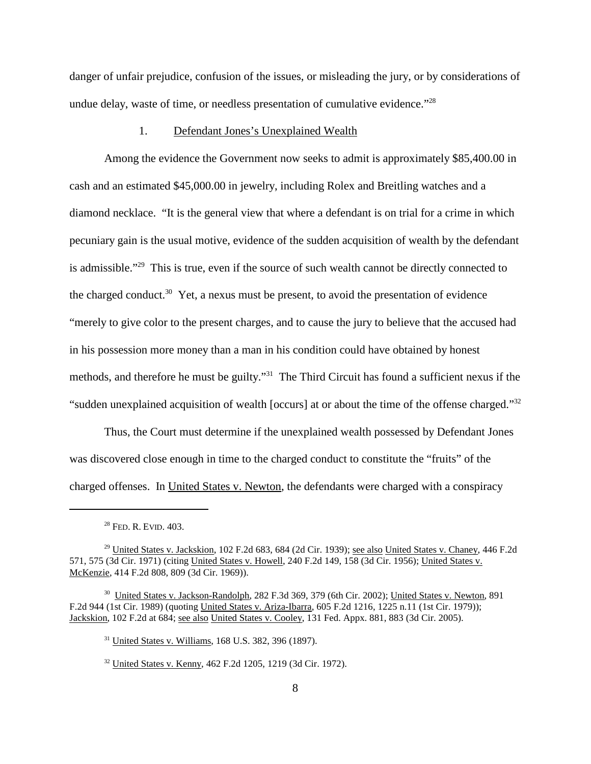danger of unfair prejudice, confusion of the issues, or misleading the jury, or by considerations of undue delay, waste of time, or needless presentation of cumulative evidence."<sup>28</sup>

#### 1. Defendant Jones's Unexplained Wealth

Among the evidence the Government now seeks to admit is approximately \$85,400.00 in cash and an estimated \$45,000.00 in jewelry, including Rolex and Breitling watches and a diamond necklace. "It is the general view that where a defendant is on trial for a crime in which pecuniary gain is the usual motive, evidence of the sudden acquisition of wealth by the defendant is admissible."29 This is true, even if the source of such wealth cannot be directly connected to the charged conduct.<sup>30</sup> Yet, a nexus must be present, to avoid the presentation of evidence "merely to give color to the present charges, and to cause the jury to believe that the accused had in his possession more money than a man in his condition could have obtained by honest methods, and therefore he must be guilty."31 The Third Circuit has found a sufficient nexus if the "sudden unexplained acquisition of wealth [occurs] at or about the time of the offense charged."32

Thus, the Court must determine if the unexplained wealth possessed by Defendant Jones was discovered close enough in time to the charged conduct to constitute the "fruits" of the charged offenses. In United States v. Newton, the defendants were charged with a conspiracy

<sup>&</sup>lt;sup>28</sup> FED. R. EVID. 403.

 $^{29}$  United States v. Jackskion, 102 F.2d 683, 684 (2d Cir. 1939); see also United States v. Chaney, 446 F.2d 571, 575 (3d Cir. 1971) (citing United States v. Howell, 240 F.2d 149, 158 (3d Cir. 1956); United States v. McKenzie, 414 F.2d 808, 809 (3d Cir. 1969)).

<sup>30</sup> United States v. Jackson-Randolph, 282 F.3d 369, 379 (6th Cir. 2002); United States v. Newton, 891 F.2d 944 (1st Cir. 1989) (quoting United States v. Ariza-Ibarra, 605 F.2d 1216, 1225 n.11 (1st Cir. 1979)); Jackskion, 102 F.2d at 684; see also United States v. Cooley, 131 Fed. Appx. 881, 883 (3d Cir. 2005).

<sup>31</sup> United States v. Williams, 168 U.S. 382, 396 (1897).

<sup>32</sup> United States v. Kenny, 462 F.2d 1205, 1219 (3d Cir. 1972).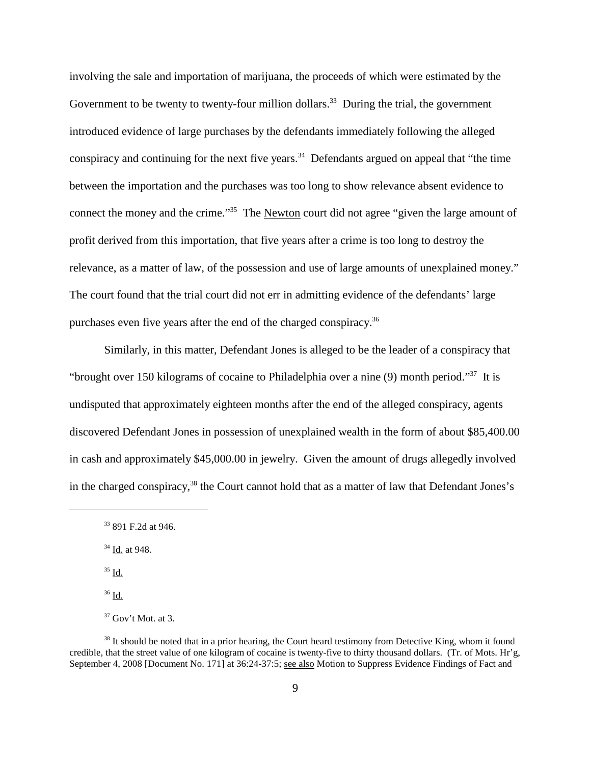involving the sale and importation of marijuana, the proceeds of which were estimated by the Government to be twenty to twenty-four million dollars.<sup>33</sup> During the trial, the government introduced evidence of large purchases by the defendants immediately following the alleged conspiracy and continuing for the next five years. <sup>34</sup> Defendants argued on appeal that "the time between the importation and the purchases was too long to show relevance absent evidence to connect the money and the crime."35 The Newton court did not agree "given the large amount of profit derived from this importation, that five years after a crime is too long to destroy the relevance, as a matter of law, of the possession and use of large amounts of unexplained money." The court found that the trial court did not err in admitting evidence of the defendants' large purchases even five years after the end of the charged conspiracy.<sup>36</sup>

Similarly, in this matter, Defendant Jones is alleged to be the leader of a conspiracy that "brought over 150 kilograms of cocaine to Philadelphia over a nine (9) month period."37 It is undisputed that approximately eighteen months after the end of the alleged conspiracy, agents discovered Defendant Jones in possession of unexplained wealth in the form of about \$85,400.00 in cash and approximately \$45,000.00 in jewelry. Given the amount of drugs allegedly involved in the charged conspiracy,<sup>38</sup> the Court cannot hold that as a matter of law that Defendant Jones's

- <sup>34</sup> Id. at 948.
- <sup>35</sup> Id.
- <sup>36</sup> Id.

<sup>33</sup> 891 F.2d at 946.

 $37$  Gov't Mot. at 3.

<sup>&</sup>lt;sup>38</sup> It should be noted that in a prior hearing, the Court heard testimony from Detective King, whom it found credible, that the street value of one kilogram of cocaine is twenty-five to thirty thousand dollars. (Tr. of Mots. Hr'g, September 4, 2008 [Document No. 171] at 36:24-37:5; see also Motion to Suppress Evidence Findings of Fact and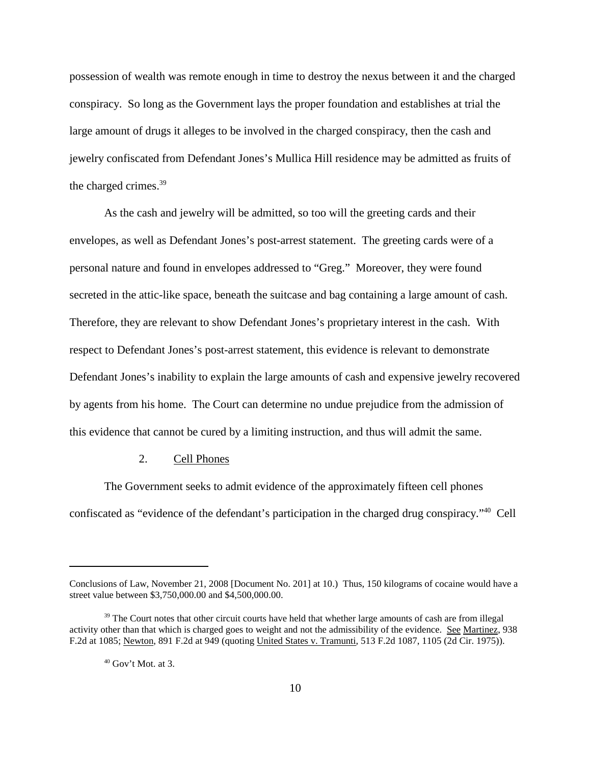possession of wealth was remote enough in time to destroy the nexus between it and the charged conspiracy. So long as the Government lays the proper foundation and establishes at trial the large amount of drugs it alleges to be involved in the charged conspiracy, then the cash and jewelry confiscated from Defendant Jones's Mullica Hill residence may be admitted as fruits of the charged crimes. 39

As the cash and jewelry will be admitted, so too will the greeting cards and their envelopes, as well as Defendant Jones's post-arrest statement. The greeting cards were of a personal nature and found in envelopes addressed to "Greg." Moreover, they were found secreted in the attic-like space, beneath the suitcase and bag containing a large amount of cash. Therefore, they are relevant to show Defendant Jones's proprietary interest in the cash. With respect to Defendant Jones's post-arrest statement, this evidence is relevant to demonstrate Defendant Jones's inability to explain the large amounts of cash and expensive jewelry recovered by agents from his home. The Court can determine no undue prejudice from the admission of this evidence that cannot be cured by a limiting instruction, and thus will admit the same.

#### 2. Cell Phones

The Government seeks to admit evidence of the approximately fifteen cell phones confiscated as "evidence of the defendant's participation in the charged drug conspiracy."40 Cell

Conclusions of Law, November 21, 2008 [Document No. 201] at 10.) Thus, 150 kilograms of cocaine would have a street value between \$3,750,000.00 and \$4,500,000.00.

<sup>&</sup>lt;sup>39</sup> The Court notes that other circuit courts have held that whether large amounts of cash are from illegal activity other than that which is charged goes to weight and not the admissibility of the evidence. See Martinez, 938 F.2d at 1085; Newton, 891 F.2d at 949 (quoting United States v. Tramunti, 513 F.2d 1087, 1105 (2d Cir. 1975)).

 $40$  Gov't Mot. at 3.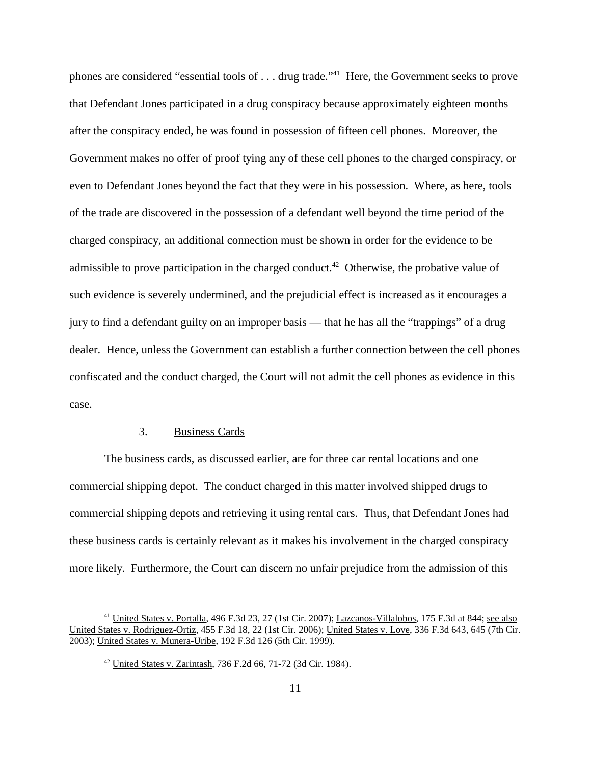phones are considered "essential tools of . . . drug trade."41 Here, the Government seeks to prove that Defendant Jones participated in a drug conspiracy because approximately eighteen months after the conspiracy ended, he was found in possession of fifteen cell phones. Moreover, the Government makes no offer of proof tying any of these cell phones to the charged conspiracy, or even to Defendant Jones beyond the fact that they were in his possession. Where, as here, tools of the trade are discovered in the possession of a defendant well beyond the time period of the charged conspiracy, an additional connection must be shown in order for the evidence to be admissible to prove participation in the charged conduct.<sup>42</sup> Otherwise, the probative value of such evidence is severely undermined, and the prejudicial effect is increased as it encourages a jury to find a defendant guilty on an improper basis — that he has all the "trappings" of a drug dealer. Hence, unless the Government can establish a further connection between the cell phones confiscated and the conduct charged, the Court will not admit the cell phones as evidence in this case.

#### 3. Business Cards

The business cards, as discussed earlier, are for three car rental locations and one commercial shipping depot. The conduct charged in this matter involved shipped drugs to commercial shipping depots and retrieving it using rental cars. Thus, that Defendant Jones had these business cards is certainly relevant as it makes his involvement in the charged conspiracy more likely. Furthermore, the Court can discern no unfair prejudice from the admission of this

<sup>41</sup> United States v. Portalla, 496 F.3d 23, 27 (1st Cir. 2007); Lazcanos-Villalobos, 175 F.3d at 844; see also United States v. Rodriguez-Ortiz, 455 F.3d 18, 22 (1st Cir. 2006); United States v. Love, 336 F.3d 643, 645 (7th Cir. 2003); United States v. Munera-Uribe, 192 F.3d 126 (5th Cir. 1999).

<sup>42</sup> United States v. Zarintash, 736 F.2d 66, 71-72 (3d Cir. 1984).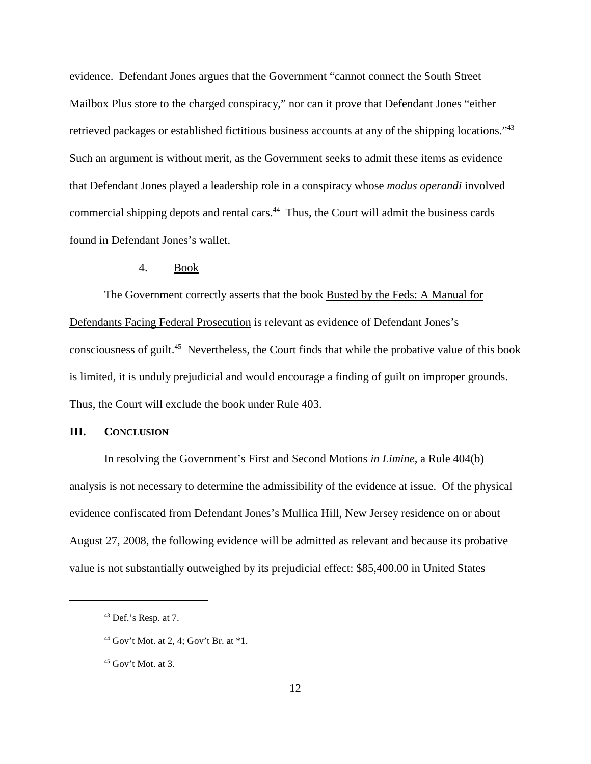evidence. Defendant Jones argues that the Government "cannot connect the South Street Mailbox Plus store to the charged conspiracy," nor can it prove that Defendant Jones "either retrieved packages or established fictitious business accounts at any of the shipping locations."43 Such an argument is without merit, as the Government seeks to admit these items as evidence that Defendant Jones played a leadership role in a conspiracy whose *modus operandi* involved commercial shipping depots and rental cars. <sup>44</sup> Thus, the Court will admit the business cards found in Defendant Jones's wallet.

#### 4. Book

The Government correctly asserts that the book **Busted by the Feds: A Manual for** Defendants Facing Federal Prosecution is relevant as evidence of Defendant Jones's consciousness of guilt. <sup>45</sup> Nevertheless, the Court finds that while the probative value of this book is limited, it is unduly prejudicial and would encourage a finding of guilt on improper grounds. Thus, the Court will exclude the book under Rule 403.

# **III. CONCLUSION**

In resolving the Government's First and Second Motions *in Limine*, a Rule 404(b) analysis is not necessary to determine the admissibility of the evidence at issue. Of the physical evidence confiscated from Defendant Jones's Mullica Hill, New Jersey residence on or about August 27, 2008, the following evidence will be admitted as relevant and because its probative value is not substantially outweighed by its prejudicial effect: \$85,400.00 in United States

<sup>43</sup> Def.'s Resp. at 7.

<sup>&</sup>lt;sup>44</sup> Gov't Mot. at 2, 4; Gov't Br. at  $*1$ .

 $45$  Gov't Mot. at 3.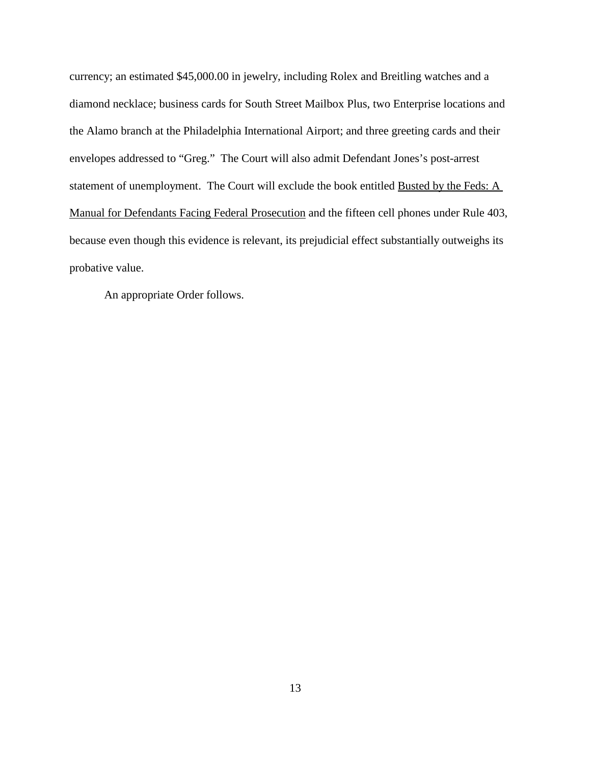currency; an estimated \$45,000.00 in jewelry, including Rolex and Breitling watches and a diamond necklace; business cards for South Street Mailbox Plus, two Enterprise locations and the Alamo branch at the Philadelphia International Airport; and three greeting cards and their envelopes addressed to "Greg." The Court will also admit Defendant Jones's post-arrest statement of unemployment. The Court will exclude the book entitled Busted by the Feds: A Manual for Defendants Facing Federal Prosecution and the fifteen cell phones under Rule 403, because even though this evidence is relevant, its prejudicial effect substantially outweighs its probative value.

An appropriate Order follows.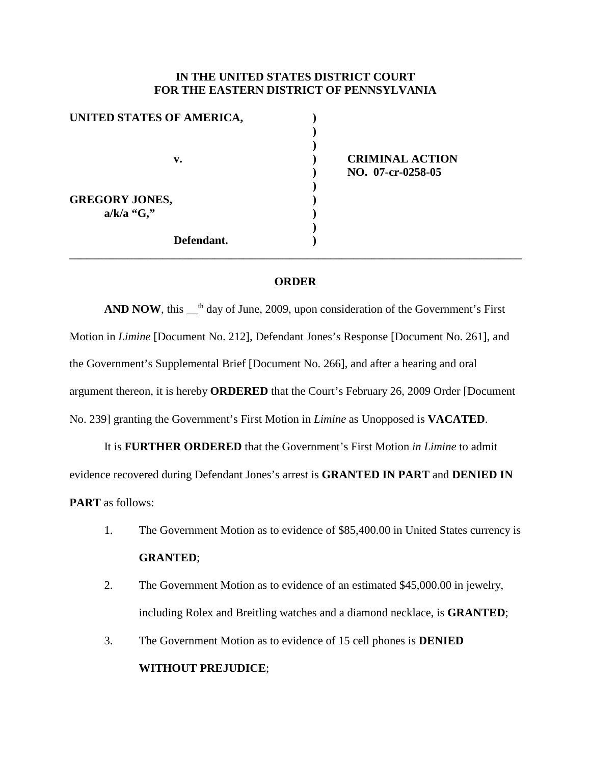# **IN THE UNITED STATES DISTRICT COURT FOR THE EASTERN DISTRICT OF PENNSYLVANIA**

| UNITED STATES OF AMERICA, |  |
|---------------------------|--|
|                           |  |
|                           |  |
| v.                        |  |
|                           |  |
|                           |  |
| <b>GREGORY JONES,</b>     |  |
| $a/k/a$ "G,"              |  |
|                           |  |
| Defendant.                |  |

**v. ) CRIMINAL ACTION ) NO. 07-cr-0258-05**

# **ORDER**

**\_\_\_\_\_\_\_\_\_\_\_\_\_\_\_\_\_\_\_\_\_\_\_\_\_\_\_\_\_\_\_\_\_\_\_\_\_\_\_\_\_\_\_\_\_\_\_\_\_\_\_\_\_\_\_\_\_\_\_\_\_\_\_\_\_\_\_\_\_\_\_\_\_\_\_\_\_\_**

**AND NOW**, this <sup>th</sup> day of June, 2009, upon consideration of the Government's First Motion in *Limine* [Document No. 212], Defendant Jones's Response [Document No. 261], and the Government's Supplemental Brief [Document No. 266], and after a hearing and oral argument thereon, it is hereby **ORDERED** that the Court's February 26, 2009 Order [Document No. 239] granting the Government's First Motion in *Limine* as Unopposed is **VACATED**.

It is **FURTHER ORDERED** that the Government's First Motion *in Limine* to admit evidence recovered during Defendant Jones's arrest is **GRANTED IN PART** and **DENIED IN PART** as follows:

- 1. The Government Motion as to evidence of \$85,400.00 in United States currency is **GRANTED**;
- 2. The Government Motion as to evidence of an estimated \$45,000.00 in jewelry, including Rolex and Breitling watches and a diamond necklace, is **GRANTED**;
- 3. The Government Motion as to evidence of 15 cell phones is **DENIED WITHOUT PREJUDICE**;